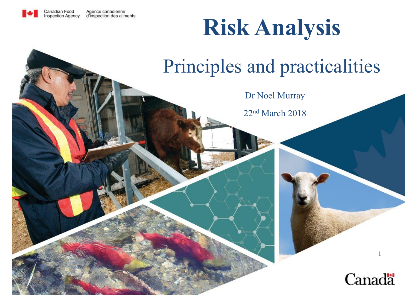

### **Risk Analysis**

#### Principles and practicalities

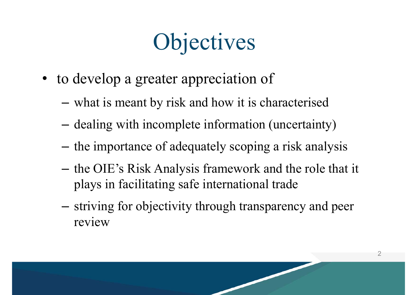## **Objectives**

- to develop a greater appreciation of
	- –what is meant by risk and how it is characterised
	- dealing with incomplete information (uncertainty)
	- the importance of adequately scoping a risk analysis
	- – the OIE's Risk Analysis framework and the role that it plays in facilitating safe international trade
	- Charles Constitution striving for objectivity through transparency and peer review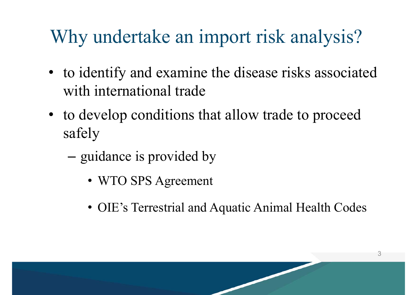#### Why undertake an import risk analysis?

- to identify and examine the disease risks associated with international trade
- to develop conditions that allow trade to proceed safely
	- –- guidance is provided by
		- WTO SPS Agreement
		- OIE's Terrestrial and Aquatic Animal Health Codes

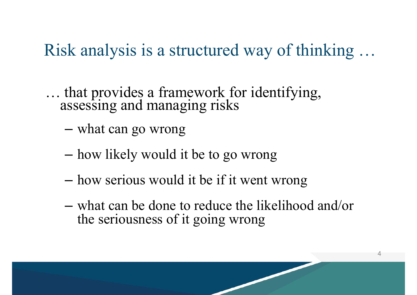#### Risk analysis is a structured way of thinking …

… that provides a framework for identifying, assessing and managing risks

–what can go wrong

- –how likely would it be to go wrong
- –how serious would it be if it went wrong
- what can be done to reduce the likelihood and/or the seriousness of it going wrong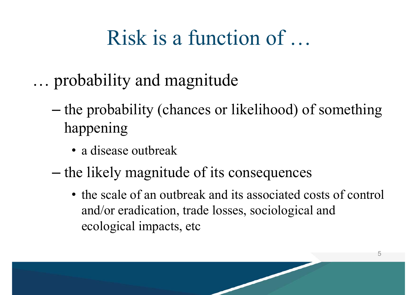#### Risk is a function of …

- … probability and magnitude
	- – the probability (chances or likelihood) of something happening
		- a disease outbreak
	- – the likely magnitude of its consequences
		- the scale of an outbreak and its associated costs of control and/or eradication, trade losses, sociological and ecological impacts, etc

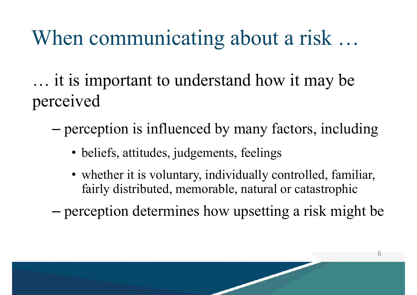#### When communicating about a risk …

… it is important to understand how it may be perceived

- – perception is influenced by many factors, including
	- beliefs, attitudes, judgements, feelings
	- whether it is voluntary, individually controlled, familiar, fairly distributed, memorable, natural or catastrophic

6

–perception determines how upsetting a risk might be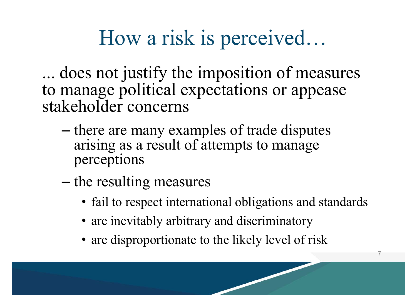#### How a risk is perceived…

... does not justify the imposition of measures to manage political expectations or appease stakeholder concerns

- –– there are many examples of trade disputes arising as a result of attempts to manage perceptions
- –– the resulting measures
	- fail to respect international obligations and standards

- are inevitably arbitrary and discriminatory
- are disproportionate to the likely level of risk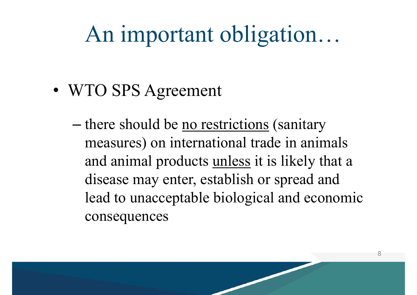### An important obligation…

- WTO SPS Agreement
	- –– there should be <u>no restrictions</u> (sanitary measures) on international trade in animals and animal products unless it is likely that a disease may enter, establish or spread and lead to unacceptable biological and economic consequences

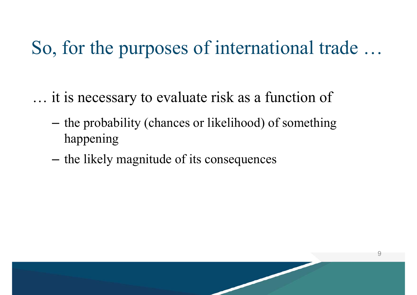So, for the purposes of international trade …

… it is necessary to evaluate risk as a function of

- –- the probability (chances or likelihood) of something happening
- –the likely magnitude of its consequences

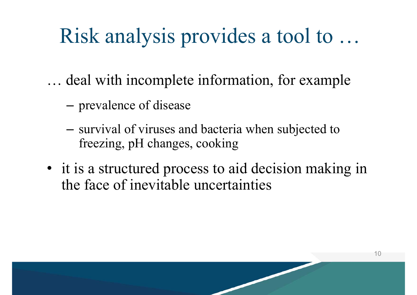#### Risk analysis provides a tool to …

… deal with incomplete information, for example

- –prevalence of disease
- – survival of viruses and bacteria when subjected to freezing, pH changes, cooking
- it is a structured process to aid decision making in the face of inevitable uncertainties

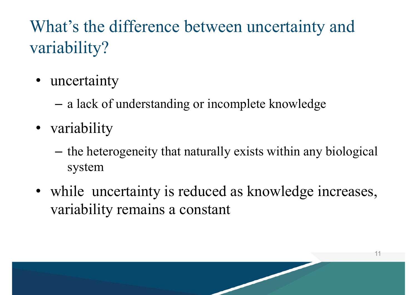#### What's the difference between uncertainty and variability?

- uncertainty
	- –a lack of understanding or incomplete knowledge
- variability
	- the heterogeneity that naturally exists within any biological system
- while uncertainty is reduced as knowledge increases, variability remains a constant

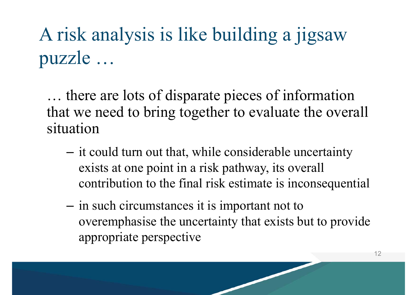A risk analysis is like building a jigsaw puzzle …

… there are lots of disparate pieces of information that we need to bring together to evaluate the overall situation

- –- it could turn out that, while considerable uncertainty exists at one point in a risk pathway, its overall contribution to the final risk estimate is inconsequential
- –- in such circumstances it is important not to overemphasise the uncertainty that exists but to provide appropriate perspective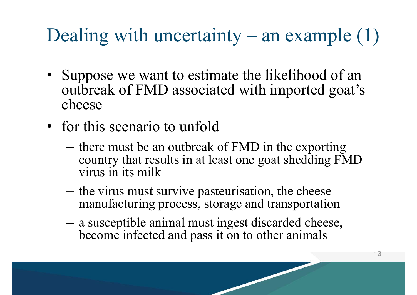#### Dealing with uncertainty – an example  $(1)$

- Suppose we want to estimate the likelihood of an outbreak of FMD associated with imported goat's cheese
- for this scenario to unfold
	- –- there must be an outbreak of FMD in the exporting country that results in at least one goat shedding FMD virus in its milk
	- –- the virus must survive pasteurisation, the cheese manufacturing process, storage and transportation
	- – a susceptible animal must ingest discarded cheese, become infected and pass it on to other animals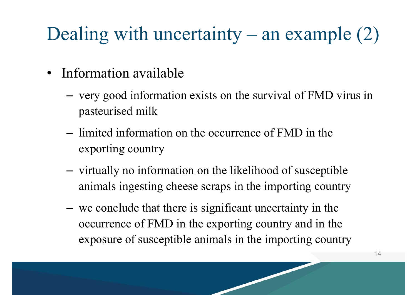#### Dealing with uncertainty – an example  $(2)$

- Information available
	- very good information exists on the survival of FMD virus in pasteurised milk
	- limited information on the occurrence of FMD in the exporting country
	- virtually no information on the likelihood of susceptible animals ingesting cheese scraps in the importing country
	- – we conclude that there is significant uncertainty in the occurrence of FMD in the exporting country and in the exposure of susceptible animals in the importing country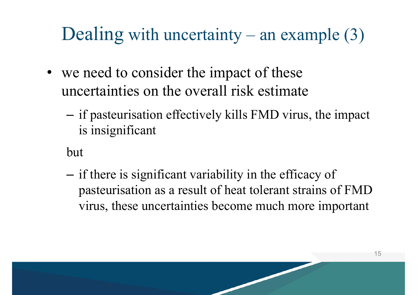#### Dealing with uncertainty – an example  $(3)$

- we need to consider the impact of these uncertainties on the overall risk estimate
	- – if pasteurisation effectively kills FMD virus, the impact is insignificant
	- but
	- – if there is significant variability in the efficacy of pasteurisation as a result of heat tolerant strains of FMD virus, these uncertainties become much more important

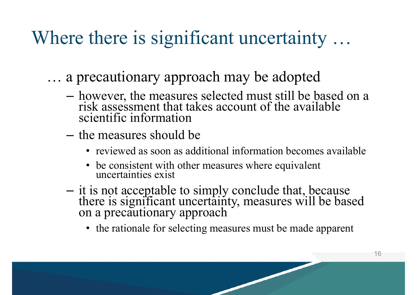#### Where there is significant uncertainty ...

- … a precautionary approach may be adopted
	- – however, the measures selected must still be based on a risk assessment that takes account of the available scientific information
	- the measures should be
		- reviewed as soon as additional information becomes available
		- be consistent with other measures where equivalent uncertainties exist
	- – it is not acceptable to simply conclude that, because there is significant uncertainty, measures will be based on a precautionary approach
		- the rationale for selecting measures must be made apparent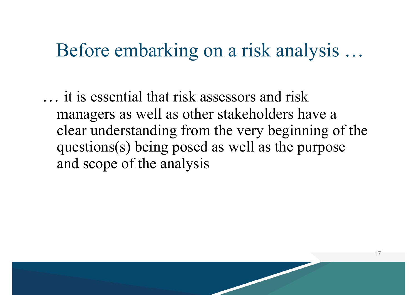#### Before embarking on a risk analysis …

… it is essential that risk assessors and risk managers as well as other stakeholders have a clear understanding from the very beginning of the questions(s) being posed as well as the purpose and scope of the analysis

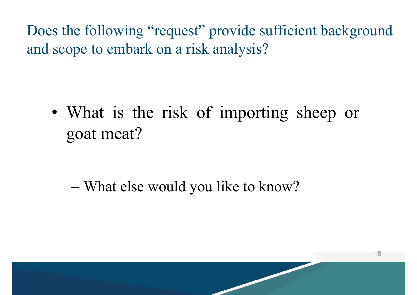Does the following "request" provide sufficient background and scope to embark on a risk analysis?

• What is the risk of importing sheep or goa<sup>t</sup> meat?

–What else would you like to know?

![](_page_17_Picture_3.jpeg)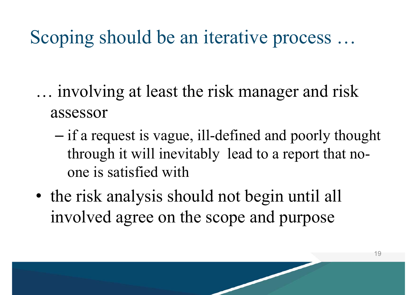#### Scoping should be an iterative process …

- … involving at least the risk manager and risk assessor
	- – if a request is vague, ill-defined and poorly thought through it will inevitably lead to a report that noone is satisfied with
- the risk analysis should not begin until all involved agree on the scope and purpose

![](_page_18_Picture_4.jpeg)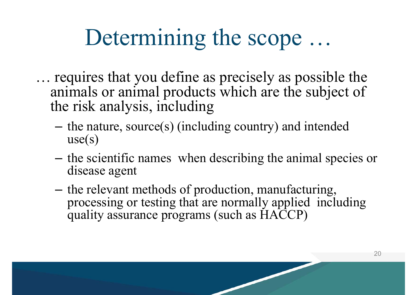### Determining the scope …

- … requires that you define as precisely as possible the animals or animal products which are the subject of the risk analysis, including
	- the nature, source(s) (including country) and intended  $use(s)$
	- the scientific names when describing the animal species or disease agent
	- the relevant methods of production, manufacturing, processing or testing that are normally applied including quality assurance programs (such as HACCP)

![](_page_19_Picture_5.jpeg)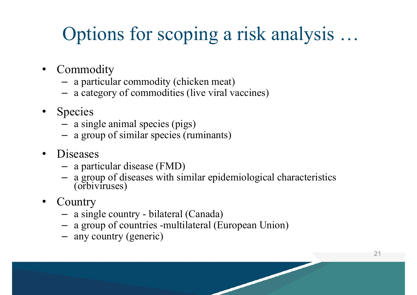#### Options for scoping a risk analysis …

- •**Commodity** 
	- a particular commodity (chicken meat)
	- a category of commodities (live viral vaccines)
- • Species
	- a single animal species (pigs)
	- a group of similar species (ruminants)
- • Diseases
	- –a particular disease (FMD)
	- a group of diseases with similar epidemiological characteristics (orbiviruses)
- •**Country** 
	- a single country bilateral (Canada)
	- a group of countries -multilateral (European Union)
	- any country (generic)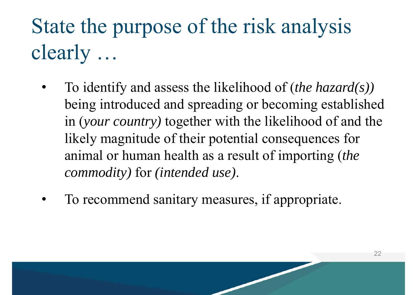### State the purpose of the risk analysis clearly …

- $\bullet$  To identify and assess the likelihood of (*the hazard(s))*  being introduced and spreading or becoming established in (*your country)* together with the likelihood of and the likely magnitude of their potential consequences for animal or human health as a result of importing (*the commodity)* for *(intended use)*.
- •To recommend sanitary measures, if appropriate.

![](_page_21_Picture_3.jpeg)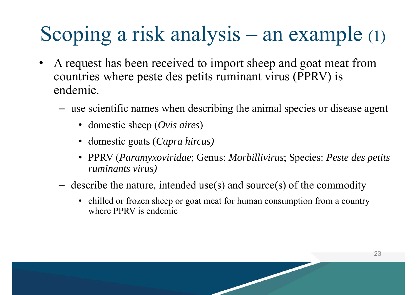#### Scoping a risk analysis – an example (1)

- • A request has been received to import sheep and goat meat from countries where peste des petits ruminant virus (PPRV) is endemic.
	- – use scientific names when describing the animal species or disease agent
		- domestic sheep (*Ovis aires*)
		- domestic goats (*Capra hircus)*
		- • PPRV (*Paramyxoviridae*; Genus: *Morbillivirus*; Species: *Peste des petits ruminants virus)*
	- – describe the nature, intended use(s) and source(s) of the commodity
		- chilled or frozen sheep or goat meat for human consumption from a country where PPRV is endemic

![](_page_22_Picture_8.jpeg)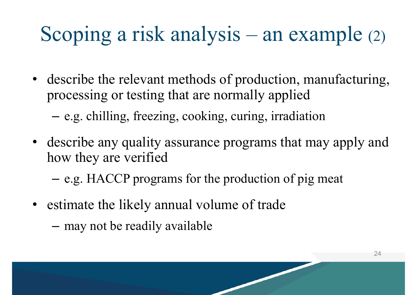#### Scoping a risk analysis – an example (2)

- describe the relevant methods of production, manufacturing, processing or testing that are normally applied
	- –e.g. chilling, freezing, cooking, curing, irradiation
- describe any quality assurance programs that may apply and how they are verified
	- –e.g. HACCP programs for the production of pig meat
- estimate the likely annual volume of trade
	- –may not be readily available

![](_page_23_Picture_7.jpeg)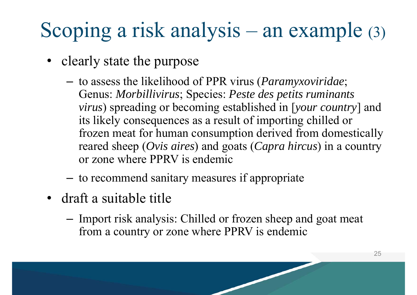#### Scoping a risk analysis – an example (3)

- clearly state the purpose
	- to assess the likelihood of PPR virus (*Paramyxoviridae*; Genus: *Morbillivirus*; Species: *Peste des petits ruminants virus*) spreading or becoming established in [*your country*] and its likely consequences as a result of importing chilled or frozen meat for human consumption derived from domestically reared sheep (*Ovis aires*) and goats (*Capra hircus*) in a country or zone where PPRV is endemic
	- to recommend sanitary measures if appropriate
- draft a suitable title
	- Import risk analysis: Chilled or frozen sheep and goat meat from a country or zone where PPRV is endemic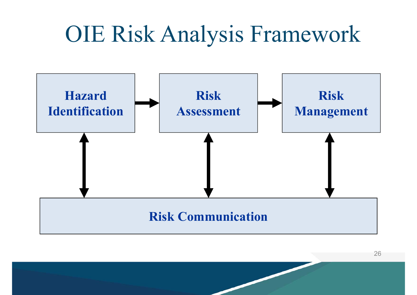### OIE Risk Analysis Framework

![](_page_25_Figure_1.jpeg)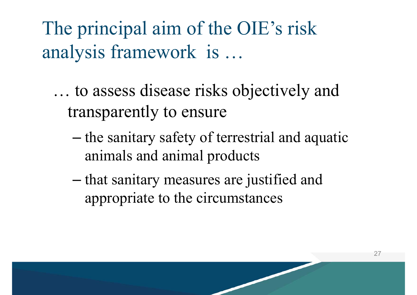The principal aim of the OIE's risk analysis framework is …

… to assess disease risks objectively and transparently to ensure

- –– the sanitary safety of terrestrial and aquatic animals and animal products
- –– that sanitary measures are justified and appropriate to the circumstances

![](_page_26_Picture_4.jpeg)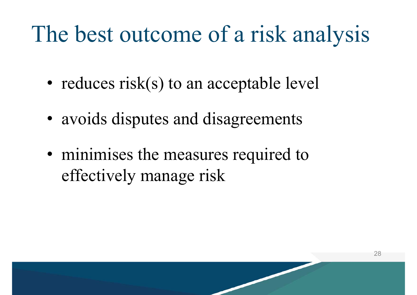### The best outcome of a risk analysis

- reduces risk(s) to an acceptable level
- avoids disputes and disagreements
- minimises the measures required to effectively manage risk

![](_page_27_Picture_4.jpeg)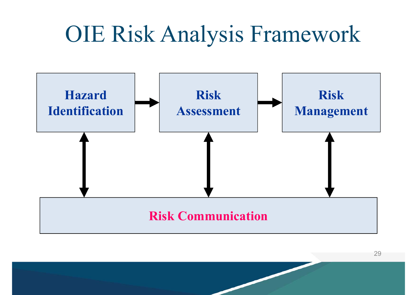### OIE Risk Analysis Framework

![](_page_28_Figure_1.jpeg)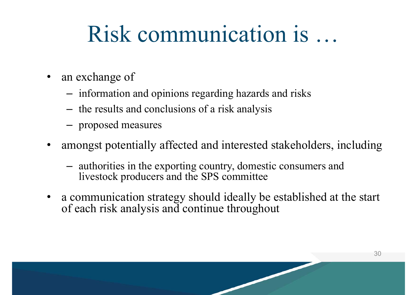### Risk communication is …

- • an exchange of
	- information and opinions regarding hazards and risks
	- the results and conclusions of a risk analysis
	- –proposed measures
- $\bullet$  amongst potentially affected and interested stakeholders, including
	- – authorities in the exporting country, domestic consumers and livestock producers and the SPS committee
- $\bullet$  a communication strategy should ideally be established at the start of each risk analysis and continue throughout

![](_page_29_Picture_8.jpeg)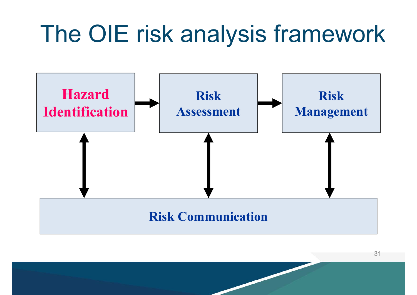### The OIE risk analysis framework

![](_page_30_Figure_1.jpeg)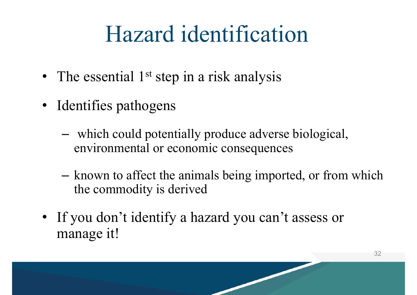### Hazard identification

- The essential 1<sup>st</sup> step in a risk analysis
- Identifies pathogens
	- which could potentially produce adverse biological, environmental or economic consequences
	- – known to affect the animals being imported, or from which the commodity is derived
- If you don't identify a hazard you can't assess or manage it!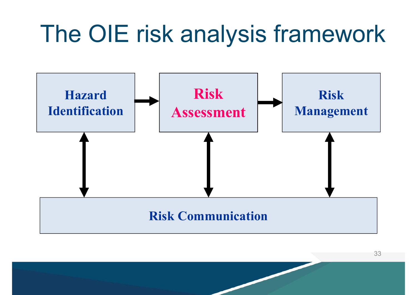### The OIE risk analysis framework

![](_page_32_Figure_1.jpeg)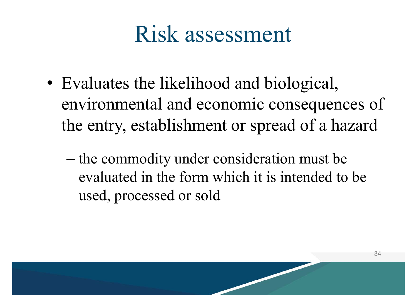### Risk assessment

- Evaluates the likelihood and biological, environmental and economic consequences of the entry, establishment or spread of a hazard
	- –– the commodity under consideration must be evaluated in the form which it is intended to be used, processed or sold

![](_page_33_Picture_3.jpeg)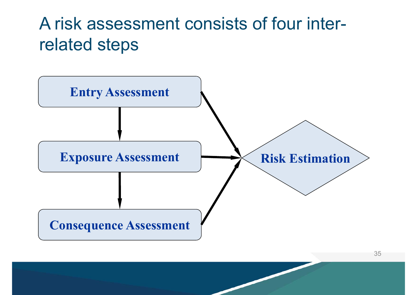#### A risk assessment consists of four interrelated steps

![](_page_34_Figure_1.jpeg)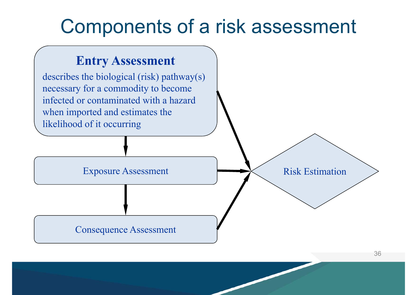#### Components of a risk assessment

#### **Entry Assessment**

describes the biological (risk) pathway(s) necessary for a commodity to become infected or contaminated with a hazard when imported and estimates the likelihood of it occurring

Exposure Assessment

Risk Estimation

Consequence Assessment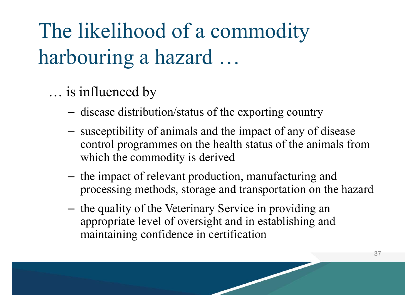The likelihood of a commodity harbouring a hazard …

… is influenced by

- –disease distribution/status of the exporting country
- susceptibility of animals and the impact of any of disease control programmes on the health status of the animals from which the commodity is derived
- the impact of relevant production, manufacturing and processing methods, storage and transportation on the hazard
- the quality of the Veterinary Service in providing an appropriate level of oversight and in establishing and maintaining confidence in certification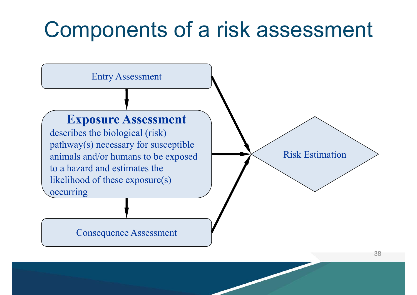### Components of a risk assessment

![](_page_37_Figure_1.jpeg)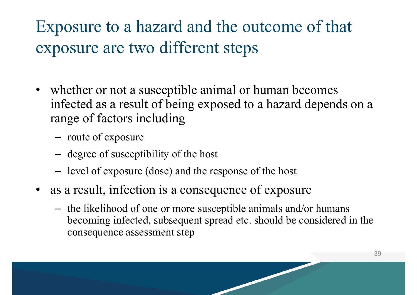Exposure to a hazard and the outcome of that exposure are two different steps

- whether or not a susceptible animal or human becomes infected as a result of being exposed to a hazard depends on a range of factors including
	- route of exposure
	- degree of susceptibility of the host
	- level of exposure (dose) and the response of the host
- as a result, infection is a consequence of exposure
	- – the likelihood of one or more susceptible animals and/or humans becoming infected, subsequent spread etc. should be considered in the consequence assessment step

![](_page_38_Picture_7.jpeg)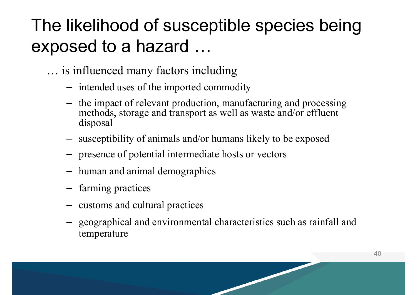#### The likelihood of susceptible species being exposed to a hazard …

- … is influenced many factors including
	- –intended uses of the imported commodity
	- – the impact of relevant production, manufacturing and processing methods, storage and transport as well as waste and/or effluent disposal
	- –susceptibility of animals and/or humans likely to be exposed
	- –presence of potential intermediate hosts or vectors
	- –human and animal demographics
	- –- farming practices
	- –- customs and cultural practices
	- – geographical and environmental characteristics such as rainfall and temperature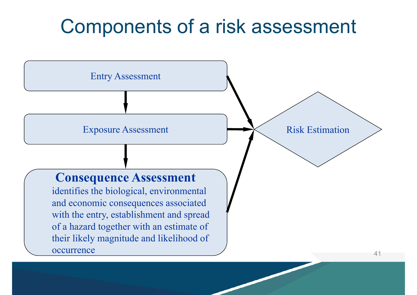#### Components of a risk assessment

![](_page_40_Figure_1.jpeg)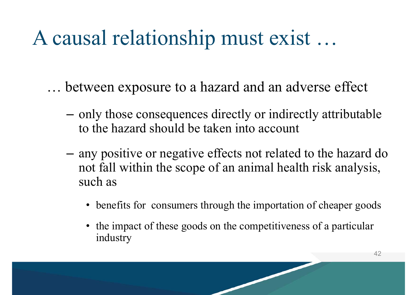#### A causal relationship must exist …

- … between exposure to a hazard and an adverse effect
	- –- only those consequences directly or indirectly attributable to the hazard should be taken into account
	- – any positive or negative effects not related to the hazard do not fall within the scope of an animal health risk analysis, such as
		- benefits for consumers through the importation of cheaper goods
		- the impact of these goods on the competitiveness of a particular industry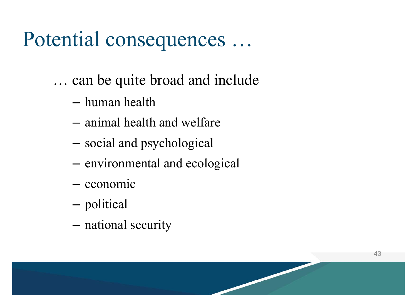#### Potential consequences …

- … can be quite broad and include
	- human health
	- animal health and welfare
	- –social and psychological
	- –environmental and ecological
	- economic
	- –political
	- –national security

![](_page_42_Picture_9.jpeg)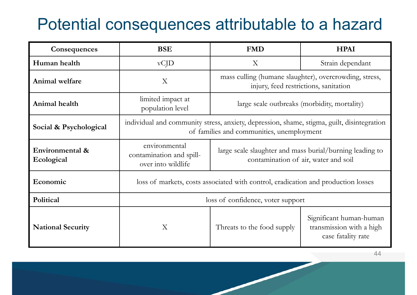#### Potential consequences attributable to a hazard

| Consequences                  | <b>BSE</b>                                                                                                                              | <b>FMD</b>                                                                                       | <b>HPAI</b>                                                               |
|-------------------------------|-----------------------------------------------------------------------------------------------------------------------------------------|--------------------------------------------------------------------------------------------------|---------------------------------------------------------------------------|
| Human health                  | $vC$ <sup>D</sup>                                                                                                                       | $\boldsymbol{\mathrm{X}}$                                                                        | Strain dependant                                                          |
| Animal welfare                | X                                                                                                                                       | mass culling (humane slaughter), overcrowding, stress,<br>injury, feed restrictions, sanitation  |                                                                           |
| Animal health                 | limited impact at<br>population level                                                                                                   | large scale outbreaks (morbidity, mortality)                                                     |                                                                           |
| Social & Psychological        | individual and community stress, anxiety, depression, shame, stigma, guilt, disintegration<br>of families and communities, unemployment |                                                                                                  |                                                                           |
| Environmental &<br>Ecological | environmental<br>contamination and spill-<br>over into wildlife                                                                         | large scale slaughter and mass burial/burning leading to<br>contamination of air, water and soil |                                                                           |
| Economic                      | loss of markets, costs associated with control, eradication and production losses                                                       |                                                                                                  |                                                                           |
| Political                     | loss of confidence, voter support                                                                                                       |                                                                                                  |                                                                           |
| <b>National Security</b>      | X                                                                                                                                       | Threats to the food supply                                                                       | Significant human-human<br>transmission with a high<br>case fatality rate |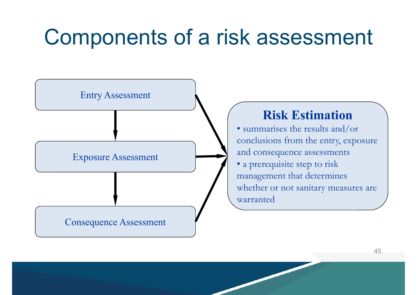### Components of a risk assessment

![](_page_44_Figure_1.jpeg)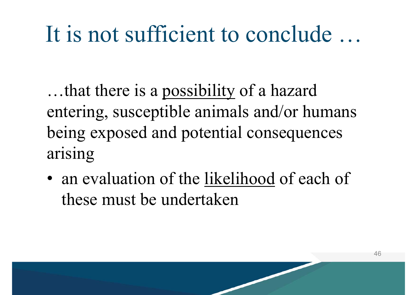### It is not sufficient to conclude …

…that there is a possibility of a hazard entering, susceptible animals and/or humans being exposed and potential consequences arising

• an evaluation of the likelihood of each of these must be undertaken

![](_page_45_Picture_3.jpeg)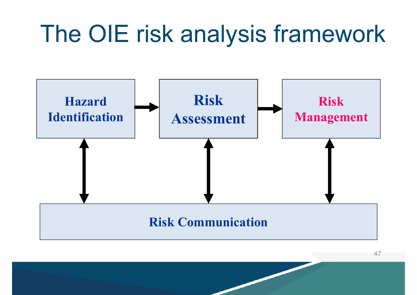### The OIE risk analysis framework

![](_page_46_Figure_1.jpeg)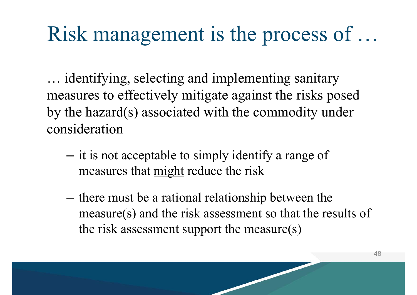#### Risk management is the process of …

… identifying, selecting and implementing sanitary measures to effectively mitigate against the risks posed by the hazard(s) associated with the commodity under consideration

- –- it is not acceptable to simply identify a range of measures that might reduce the risk
- –- there must be a rational relationship between the measure(s) and the risk assessment so that the results of the risk assessment support the measure(s)

![](_page_47_Picture_4.jpeg)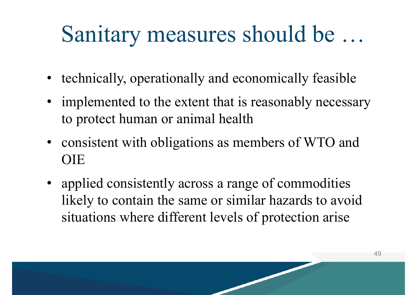### Sanitary measures should be …

- technically, operationally and economically feasible
- implemented to the extent that is reasonably necessary to protect human or animal health
- consistent with obligations as members of WTO and OIE
- applied consistently across a range of commodities likely to contain the same or similar hazards to avoid situations where different levels of protection arise

![](_page_48_Picture_5.jpeg)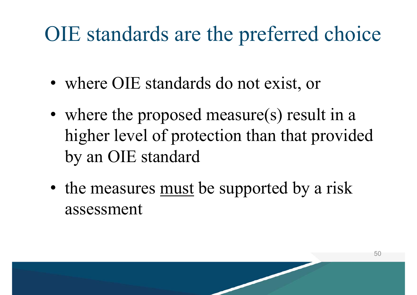#### OIE standards are the preferred choice

- where OIE standards do not exist, or
- where the proposed measure(s) result in a higher level of protection than that provided by an OIE standard
- the measures must be supported by a risk assessment

![](_page_49_Picture_4.jpeg)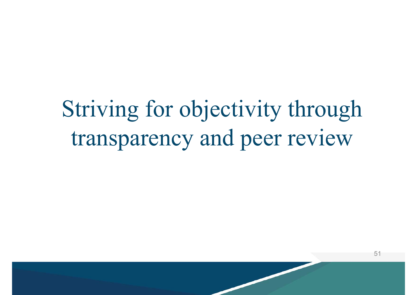Striving for objectivity through transparency and peer review

![](_page_50_Picture_1.jpeg)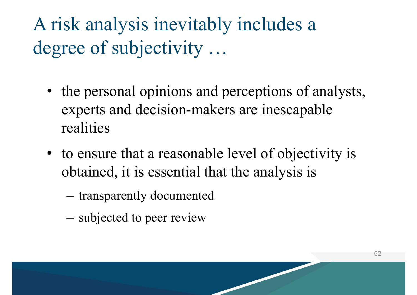A risk analysis inevitably includes a degree of subjectivity …

- the personal opinions and perceptions of analysts, experts and decision-makers are inescapable realities
- to ensure that a reasonable level of objectivity is obtained, it is essential that the analysis is

- –transparently documented
- –- subjected to peer review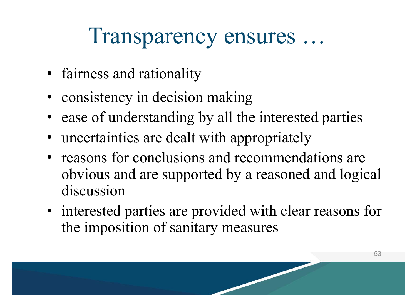### Transparency ensures …

- fairness and rationality
- consistency in decision making
- ease of understanding by all the interested parties
- uncertainties are dealt with appropriately
- reasons for conclusions and recommendations are obvious and are supported by a reasoned and logical discussion
- interested parties are provided with clear reasons for the imposition of sanitary measures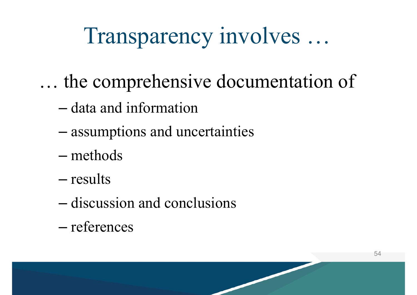### Transparency involves …

- … the comprehensive documentation of
	- data and information
	- –assumptions and uncertainties
	- methods
	- results
	- discussion and conclusions
	- references

![](_page_53_Picture_8.jpeg)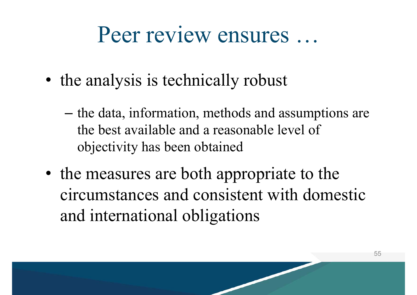#### Peer review ensures …

- the analysis is technically robust
	- –– the data, information, methods and assumptions are the best available and a reasonable level of objectivity has been obtained
- the measures are both appropriate to the circumstances and consistent with domestic and international obligations

![](_page_54_Picture_4.jpeg)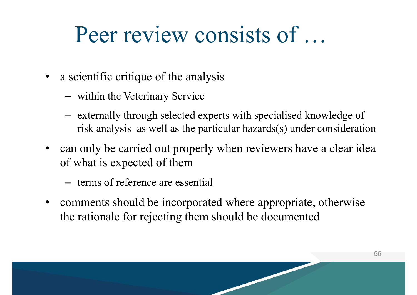#### Peer review consists of …

- a scientific critique of the analysis
	- within the Veterinary Service
	- externally through selected experts with specialised knowledge of risk analysis as well as the particular hazards(s) under consideration
- can only be carried out properly when reviewers have a clear idea of what is expected of them
	- terms of reference are essential
- $\bullet$  comments should be incorporated where appropriate, otherwise the rationale for rejecting them should be documented

![](_page_55_Picture_7.jpeg)